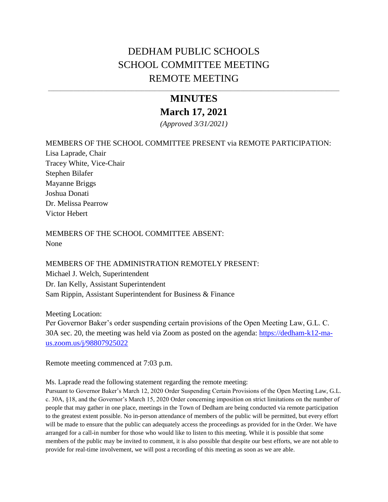# DEDHAM PUBLIC SCHOOLS SCHOOL COMMITTEE MEETING REMOTE MEETING

# **MINUTES March 17, 2021**

\_\_\_\_\_\_\_\_\_\_\_\_\_\_\_\_\_\_\_\_\_\_\_\_\_\_\_\_\_\_\_\_\_\_\_\_\_\_\_\_\_\_\_\_\_\_\_\_\_\_\_\_\_\_\_\_\_\_\_\_\_\_\_\_\_\_\_\_\_\_\_\_\_\_\_\_\_\_\_\_\_\_\_\_\_\_\_\_\_\_\_\_\_\_\_\_\_\_\_\_\_\_\_\_\_\_\_\_\_\_\_\_\_\_\_

*(Approved 3/31/2021)*

#### MEMBERS OF THE SCHOOL COMMITTEE PRESENT via REMOTE PARTICIPATION:

Lisa Laprade, Chair Tracey White, Vice-Chair Stephen Bilafer Mayanne Briggs Joshua Donati Dr. Melissa Pearrow Victor Hebert

MEMBERS OF THE SCHOOL COMMITTEE ABSENT: None

MEMBERS OF THE ADMINISTRATION REMOTELY PRESENT: Michael J. Welch, Superintendent Dr. Ian Kelly, Assistant Superintendent Sam Rippin, Assistant Superintendent for Business & Finance

Meeting Location: Per Governor Baker's order suspending certain provisions of the Open Meeting Law, G.L. C. 30A sec. 20, the meeting was held via Zoom as posted on the agenda: [https://dedham-k12-ma](https://dedham-k12-ma-us.zoom.us/j/98807925022)[us.zoom.us/j/98807925022](https://dedham-k12-ma-us.zoom.us/j/98807925022) 

Remote meeting commenced at 7:03 p.m.

Ms. Laprade read the following statement regarding the remote meeting:

Pursuant to Governor Baker's March 12, 2020 Order Suspending Certain Provisions of the Open Meeting Law, G.L. c. 30A, §18, and the Governor's March 15, 2020 Order concerning imposition on strict limitations on the number of people that may gather in one place, meetings in the Town of Dedham are being conducted via remote participation to the greatest extent possible. No in-person attendance of members of the public will be permitted, but every effort will be made to ensure that the public can adequately access the proceedings as provided for in the Order. We have arranged for a call-in number for those who would like to listen to this meeting. While it is possible that some members of the public may be invited to comment, it is also possible that despite our best efforts, we are not able to provide for real-time involvement, we will post a recording of this meeting as soon as we are able.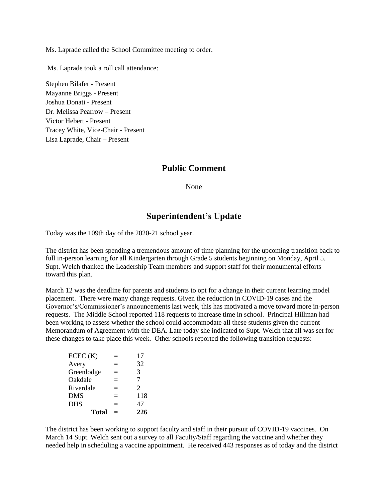Ms. Laprade called the School Committee meeting to order.

Ms. Laprade took a roll call attendance:

Stephen Bilafer - Present Mayanne Briggs - Present Joshua Donati - Present Dr. Melissa Pearrow – Present Victor Hebert - Present Tracey White, Vice-Chair - Present Lisa Laprade, Chair – Present

#### **Public Comment**

None

### **Superintendent's Update**

Today was the 109th day of the 2020-21 school year.

The district has been spending a tremendous amount of time planning for the upcoming transition back to full in-person learning for all Kindergarten through Grade 5 students beginning on Monday, April 5. Supt. Welch thanked the Leadership Team members and support staff for their monumental efforts toward this plan.

March 12 was the deadline for parents and students to opt for a change in their current learning model placement. There were many change requests. Given the reduction in COVID-19 cases and the Governor's/Commissioner's announcements last week, this has motivated a move toward more in-person requests. The Middle School reported 118 requests to increase time in school. Principal Hillman had been working to assess whether the school could accommodate all these students given the current Memorandum of Agreement with the DEA. Late today she indicated to Supt. Welch that all was set for these changes to take place this week. Other schools reported the following transition requests:

| ECEC(K)      |     | 17                    |
|--------------|-----|-----------------------|
| Avery        | Ξ   | 32                    |
| Greenlodge   |     | 3                     |
| Oakdale      | $=$ | 7                     |
| Riverdale    | $=$ | $\mathcal{D}_{\cdot}$ |
| <b>DMS</b>   | ═   | 118                   |
| <b>DHS</b>   | $=$ | 47                    |
| <b>Total</b> |     | 226                   |

The district has been working to support faculty and staff in their pursuit of COVID-19 vaccines. On March 14 Supt. Welch sent out a survey to all Faculty/Staff regarding the vaccine and whether they needed help in scheduling a vaccine appointment. He received 443 responses as of today and the district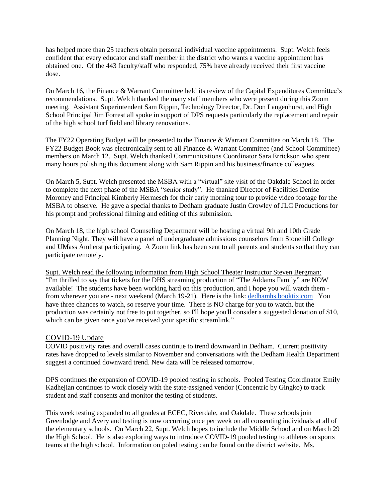has helped more than 25 teachers obtain personal individual vaccine appointments. Supt. Welch feels confident that every educator and staff member in the district who wants a vaccine appointment has obtained one. Of the 443 faculty/staff who responded, 75% have already received their first vaccine dose.

On March 16, the Finance & Warrant Committee held its review of the Capital Expenditures Committee's recommendations. Supt. Welch thanked the many staff members who were present during this Zoom meeting. Assistant Superintendent Sam Rippin, Technology Director, Dr. Don Langenhorst, and High School Principal Jim Forrest all spoke in support of DPS requests particularly the replacement and repair of the high school turf field and library renovations.

The FY22 Operating Budget will be presented to the Finance & Warrant Committee on March 18. The FY22 Budget Book was electronically sent to all Finance & Warrant Committee (and School Committee) members on March 12. Supt. Welch thanked Communications Coordinator Sara Errickson who spent many hours polishing this document along with Sam Rippin and his business/finance colleagues.

On March 5, Supt. Welch presented the MSBA with a "virtual" site visit of the Oakdale School in order to complete the next phase of the MSBA "senior study". He thanked Director of Facilities Denise Moroney and Principal Kimberly Hermesch for their early morning tour to provide video footage for the MSBA to observe. He gave a special thanks to Dedham graduate Justin Crowley of JLC Productions for his prompt and professional filming and editing of this submission.

On March 18, the high school Counseling Department will be hosting a virtual 9th and 10th Grade Planning Night. They will have a panel of undergraduate admissions counselors from Stonehill College and UMass Amherst participating. A Zoom link has been sent to all parents and students so that they can participate remotely.

Supt. Welch read the following information from High School Theater Instructor Steven Bergman: "I'm thrilled to say that tickets for the DHS streaming production of "The Addams Family" are NOW available! The students have been working hard on this production, and I hope you will watch them from wherever you are - next weekend (March 19-21). Here is the link: [dedhamhs.booktix.com](http://dedhamhs.booktix.com/) You have three chances to watch, so reserve your time. There is NO charge for you to watch, but the production was certainly not free to put together, so I'll hope you'll consider a suggested donation of \$10, which can be given once you've received your specific streamlink."

#### COVID-19 Update

COVID positivity rates and overall cases continue to trend downward in Dedham. Current positivity rates have dropped to levels similar to November and conversations with the Dedham Health Department suggest a continued downward trend. New data will be released tomorrow.

DPS continues the expansion of COVID-19 pooled testing in schools. Pooled Testing Coordinator Emily Kadhejian continues to work closely with the state-assigned vendor (Concentric by Gingko) to track student and staff consents and monitor the testing of students.

This week testing expanded to all grades at ECEC, Riverdale, and Oakdale. These schools join Greenlodge and Avery and testing is now occurring once per week on all consenting individuals at all of the elementary schools. On March 22, Supt. Welch hopes to include the Middle School and on March 29 the High School. He is also exploring ways to introduce COVID-19 pooled testing to athletes on sports teams at the high school. Information on poled testing can be found on the district website. Ms.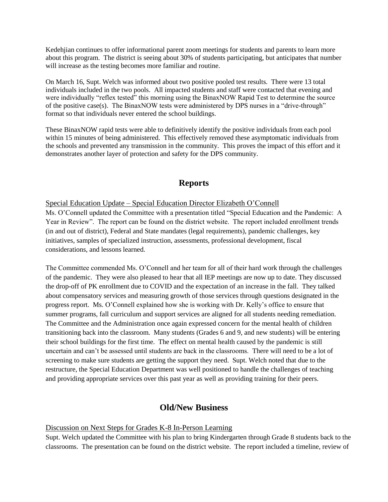Kedehjian continues to offer informational parent zoom meetings for students and parents to learn more about this program. The district is seeing about 30% of students participating, but anticipates that number will increase as the testing becomes more familiar and routine.

On March 16, Supt. Welch was informed about two positive pooled test results. There were 13 total individuals included in the two pools. All impacted students and staff were contacted that evening and were individually "reflex tested" this morning using the BinaxNOW Rapid Test to determine the source of the positive case(s). The BinaxNOW tests were administered by DPS nurses in a "drive-through" format so that individuals never entered the school buildings.

These BinaxNOW rapid tests were able to definitively identify the positive individuals from each pool within 15 minutes of being administered. This effectively removed these asymptomatic individuals from the schools and prevented any transmission in the community. This proves the impact of this effort and it demonstrates another layer of protection and safety for the DPS community.

## **Reports**

Special Education Update – Special Education Director Elizabeth O'Connell

Ms. O'Connell updated the Committee with a presentation titled "Special Education and the Pandemic: A Year in Review". The report can be found on the district website. The report included enrollment trends (in and out of district), Federal and State mandates (legal requirements), pandemic challenges, key initiatives, samples of specialized instruction, assessments, professional development, fiscal considerations, and lessons learned.

The Committee commended Ms. O'Connell and her team for all of their hard work through the challenges of the pandemic. They were also pleased to hear that all IEP meetings are now up to date. They discussed the drop-off of PK enrollment due to COVID and the expectation of an increase in the fall. They talked about compensatory services and measuring growth of those services through questions designated in the progress report. Ms. O'Connell explained how she is working with Dr. Kelly's office to ensure that summer programs, fall curriculum and support services are aligned for all students needing remediation. The Committee and the Administration once again expressed concern for the mental health of children transitioning back into the classroom. Many students (Grades 6 and 9, and new students) will be entering their school buildings for the first time. The effect on mental health caused by the pandemic is still uncertain and can't be assessed until students are back in the classrooms. There will need to be a lot of screening to make sure students are getting the support they need. Supt. Welch noted that due to the restructure, the Special Education Department was well positioned to handle the challenges of teaching and providing appropriate services over this past year as well as providing training for their peers.

## **Old/New Business**

#### Discussion on Next Steps for Grades K-8 In-Person Learning

Supt. Welch updated the Committee with his plan to bring Kindergarten through Grade 8 students back to the classrooms. The presentation can be found on the district website. The report included a timeline, review of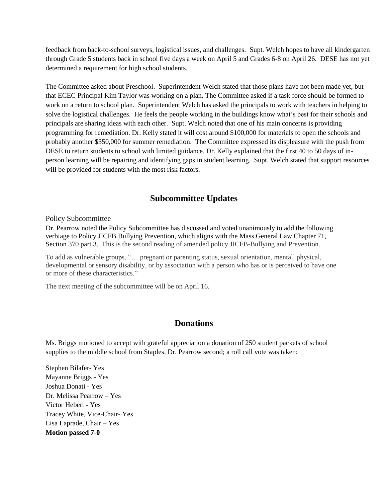feedback from back-to-school surveys, logistical issues, and challenges. Supt. Welch hopes to have all kindergarten through Grade 5 students back in school five days a week on April 5 and Grades 6-8 on April 26. DESE has not yet determined a requirement for high school students.

The Committee asked about Preschool. Superintendent Welch stated that those plans have not been made yet, but that ECEC Principal Kim Taylor was working on a plan. The Committee asked if a task force should be formed to work on a return to school plan. Superintendent Welch has asked the principals to work with teachers in helping to solve the logistical challenges. He feels the people working in the buildings know what's best for their schools and principals are sharing ideas with each other. Supt. Welch noted that one of his main concerns is providing programming for remediation. Dr. Kelly stated it will cost around \$100,000 for materials to open the schools and probably another \$350,000 for summer remediation. The Committee expressed its displeasure with the push from DESE to return students to school with limited guidance. Dr. Kelly explained that the first 40 to 50 days of inperson learning will be repairing and identifying gaps in student learning. Supt. Welch stated that support resources will be provided for students with the most risk factors.

## **Subcommittee Updates**

#### Policy Subcommittee

Dr. Pearrow noted the Policy Subcommittee has discussed and voted unanimously to add the following verbiage to Policy JICFB Bullying Prevention, which aligns with the Mass General Law Chapter 71, Section 370 part 3. This is the second reading of amended policy JICFB-Bullying and Prevention.

To add as vulnerable groups, "….pregnant or parenting status, sexual orientation, mental, physical, developmental or sensory disability, or by association with a person who has or is perceived to have one or more of these characteristics."

The next meeting of the subcommittee will be on April 16.

## **Donations**

Ms. Briggs motioned to accept with grateful appreciation a donation of 250 student packets of school supplies to the middle school from Staples, Dr. Pearrow second; a roll call vote was taken:

Stephen Bilafer- Yes Mayanne Briggs - Yes Joshua Donati - Yes Dr. Melissa Pearrow – Yes Victor Hebert - Yes Tracey White, Vice-Chair- Yes Lisa Laprade, Chair – Yes **Motion passed 7-0**